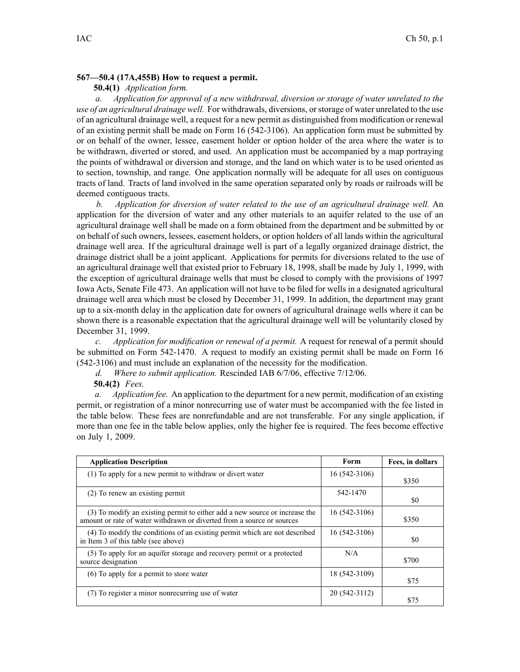## **567—50.4 (17A,455B) How to request <sup>a</sup> permit.**

## **50.4(1)** *Application form.*

*a. Application for approval of <sup>a</sup> new withdrawal, diversion or storage of water unrelated to the use of an agricultural drainage well.* For withdrawals, diversions, orstorage of water unrelated to the use of an agricultural drainage well, <sup>a</sup> reques<sup>t</sup> for <sup>a</sup> new permit as distinguished from modification or renewal of an existing permit shall be made on Form 16 (542-3106). An application form must be submitted by or on behalf of the owner, lessee, easement holder or option holder of the area where the water is to be withdrawn, diverted or stored, and used. An application must be accompanied by <sup>a</sup> map portraying the points of withdrawal or diversion and storage, and the land on which water is to be used oriented as to section, township, and range. One application normally will be adequate for all uses on contiguous tracts of land. Tracts of land involved in the same operation separated only by roads or railroads will be deemed contiguous tracts.

*b. Application for diversion of water related to the use of an agricultural drainage well.* An application for the diversion of water and any other materials to an aquifer related to the use of an agricultural drainage well shall be made on <sup>a</sup> form obtained from the department and be submitted by or on behalf of such owners, lessees, easement holders, or option holders of all lands within the agricultural drainage well area. If the agricultural drainage well is par<sup>t</sup> of <sup>a</sup> legally organized drainage district, the drainage district shall be <sup>a</sup> joint applicant. Applications for permits for diversions related to the use of an agricultural drainage well that existed prior to February 18, 1998, shall be made by July 1, 1999, with the exception of agricultural drainage wells that must be closed to comply with the provisions of 1997 Iowa Acts, Senate File 473. An application will not have to be filed for wells in <sup>a</sup> designated agricultural drainage well area which must be closed by December 31, 1999. In addition, the department may gran<sup>t</sup> up to <sup>a</sup> six-month delay in the application date for owners of agricultural drainage wells where it can be shown there is <sup>a</sup> reasonable expectation that the agricultural drainage well will be voluntarily closed by December 31, 1999.

*c. Application for modification or renewal of <sup>a</sup> permit.* A reques<sup>t</sup> for renewal of <sup>a</sup> permit should be submitted on Form 542-1470. A reques<sup>t</sup> to modify an existing permit shall be made on Form 16 (542-3106) and must include an explanation of the necessity for the modification.

*d. Where to submit application.* Rescinded IAB 6/7/06, effective 7/12/06.

**50.4(2)** *Fees.*

*a. Application fee.* An application to the department for <sup>a</sup> new permit, modification of an existing permit, or registration of <sup>a</sup> minor nonrecurring use of water must be accompanied with the fee listed in the table below. These fees are nonrefundable and are not transferable. For any single application, if more than one fee in the table below applies, only the higher fee is required. The fees become effective on July 1, 2009.

| <b>Application Description</b>                                                                                                                        | Form          | Fees, in dollars |
|-------------------------------------------------------------------------------------------------------------------------------------------------------|---------------|------------------|
| (1) To apply for a new permit to withdraw or divert water                                                                                             | 16 (542-3106) | \$350            |
| (2) To renew an existing permit                                                                                                                       | 542-1470      | \$0              |
| (3) To modify an existing permit to either add a new source or increase the<br>amount or rate of water withdrawn or diverted from a source or sources | 16 (542-3106) | \$350            |
| (4) To modify the conditions of an existing permit which are not described<br>in Item 3 of this table (see above)                                     | 16 (542-3106) | \$0              |
| (5) To apply for an aquifer storage and recovery permit or a protected<br>source designation                                                          | N/A           | \$700            |
| (6) To apply for a permit to store water                                                                                                              | 18 (542-3109) | \$75             |
| (7) To register a minor nonrecurring use of water                                                                                                     | 20 (542-3112) | \$75             |